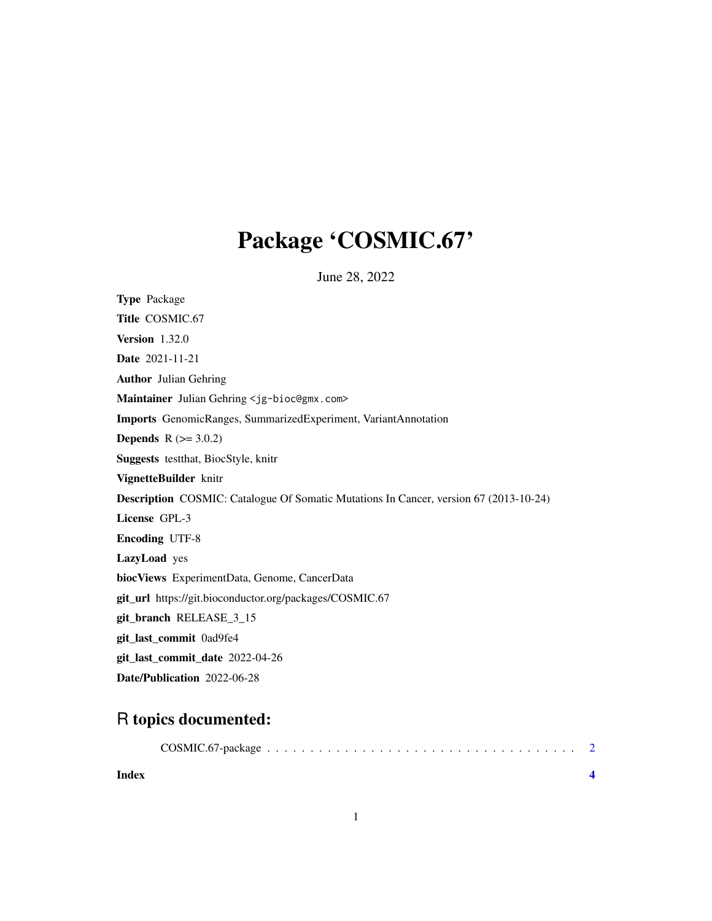## Package 'COSMIC.67'

June 28, 2022

<span id="page-0-0"></span>Type Package Title COSMIC.67 Version 1.32.0 Date 2021-11-21 Author Julian Gehring Maintainer Julian Gehring <jg-bioc@gmx.com> Imports GenomicRanges, SummarizedExperiment, VariantAnnotation **Depends**  $R (= 3.0.2)$ Suggests testthat, BiocStyle, knitr VignetteBuilder knitr Description COSMIC: Catalogue Of Somatic Mutations In Cancer, version 67 (2013-10-24) License GPL-3 Encoding UTF-8 LazyLoad yes biocViews ExperimentData, Genome, CancerData git\_url https://git.bioconductor.org/packages/COSMIC.67 git\_branch RELEASE\_3\_15 git\_last\_commit 0ad9fe4 git\_last\_commit\_date 2022-04-26 Date/Publication 2022-06-28

### R topics documented:

| Index |  |  |  |  |  |  |  |  |  |  |  |  |  |  |  |
|-------|--|--|--|--|--|--|--|--|--|--|--|--|--|--|--|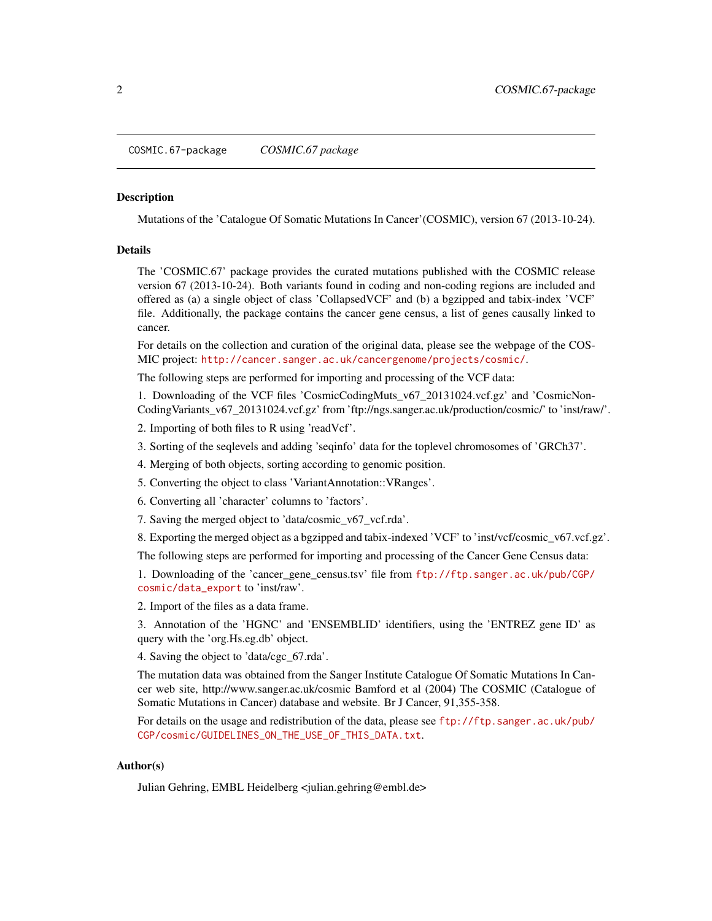<span id="page-1-0"></span>COSMIC.67-package *COSMIC.67 package*

#### Description

Mutations of the 'Catalogue Of Somatic Mutations In Cancer'(COSMIC), version 67 (2013-10-24).

#### Details

The 'COSMIC.67' package provides the curated mutations published with the COSMIC release version 67 (2013-10-24). Both variants found in coding and non-coding regions are included and offered as (a) a single object of class 'CollapsedVCF' and (b) a bgzipped and tabix-index 'VCF' file. Additionally, the package contains the cancer gene census, a list of genes causally linked to cancer.

For details on the collection and curation of the original data, please see the webpage of the COS-MIC project: <http://cancer.sanger.ac.uk/cancergenome/projects/cosmic/>.

The following steps are performed for importing and processing of the VCF data:

1. Downloading of the VCF files 'CosmicCodingMuts\_v67\_20131024.vcf.gz' and 'CosmicNon-CodingVariants\_v67\_20131024.vcf.gz' from 'ftp://ngs.sanger.ac.uk/production/cosmic/' to 'inst/raw/'.

2. Importing of both files to R using 'readVcf'.

3. Sorting of the seqlevels and adding 'seqinfo' data for the toplevel chromosomes of 'GRCh37'.

4. Merging of both objects, sorting according to genomic position.

5. Converting the object to class 'VariantAnnotation::VRanges'.

6. Converting all 'character' columns to 'factors'.

7. Saving the merged object to 'data/cosmic\_v67\_vcf.rda'.

8. Exporting the merged object as a bgzipped and tabix-indexed 'VCF' to 'inst/vcf/cosmic\_v67.vcf.gz'.

The following steps are performed for importing and processing of the Cancer Gene Census data:

1. Downloading of the 'cancer\_gene\_census.tsv' file from [ftp://ftp.sanger.ac.uk/pub/CGP/](ftp://ftp.sanger.ac.uk/pub/CGP/cosmic/data_export) [cosmic/data\\_export](ftp://ftp.sanger.ac.uk/pub/CGP/cosmic/data_export) to 'inst/raw'.

2. Import of the files as a data frame.

3. Annotation of the 'HGNC' and 'ENSEMBLID' identifiers, using the 'ENTREZ gene ID' as query with the 'org.Hs.eg.db' object.

4. Saving the object to 'data/cgc\_67.rda'.

The mutation data was obtained from the Sanger Institute Catalogue Of Somatic Mutations In Cancer web site, http://www.sanger.ac.uk/cosmic Bamford et al (2004) The COSMIC (Catalogue of Somatic Mutations in Cancer) database and website. Br J Cancer, 91,355-358.

For details on the usage and redistribution of the data, please see [ftp://ftp.sanger.ac.uk/pub/](ftp://ftp.sanger.ac.uk/pub/CGP/cosmic/GUIDELINES_ON_THE_USE_OF_THIS_DATA.txt) [CGP/cosmic/GUIDELINES\\_ON\\_THE\\_USE\\_OF\\_THIS\\_DATA.txt](ftp://ftp.sanger.ac.uk/pub/CGP/cosmic/GUIDELINES_ON_THE_USE_OF_THIS_DATA.txt).

#### Author(s)

Julian Gehring, EMBL Heidelberg <julian.gehring@embl.de>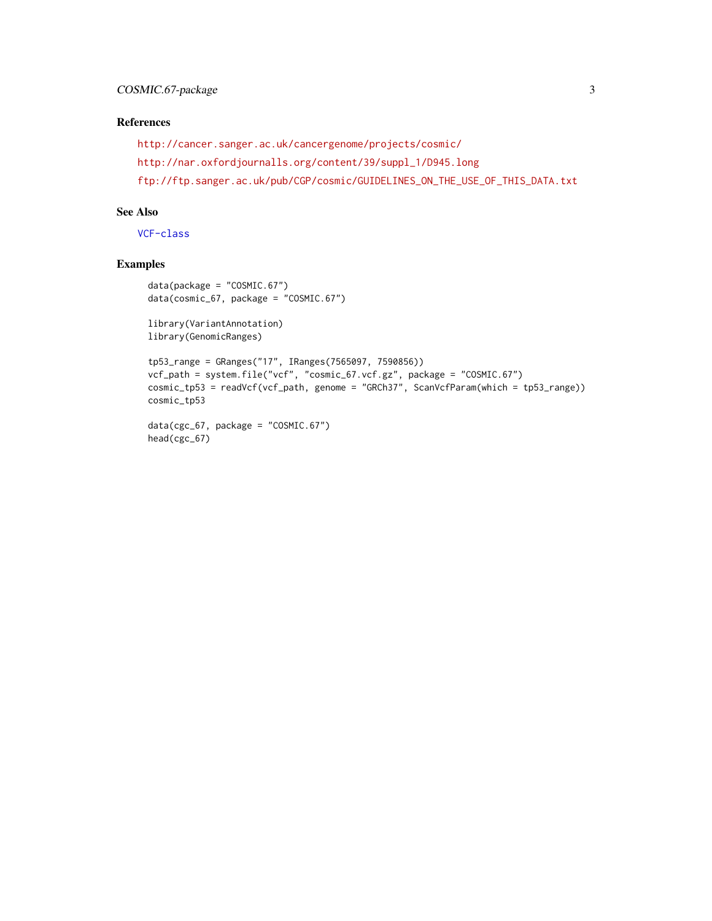#### References

```
http://cancer.sanger.ac.uk/cancergenome/projects/cosmic/
http://nar.oxfordjournalls.org/content/39/suppl_1/D945.long
ftp://ftp.sanger.ac.uk/pub/CGP/cosmic/GUIDELINES_ON_THE_USE_OF_THIS_DATA.txt
```
#### See Also

[VCF-class](#page-0-0)

#### Examples

```
data(package = "COSMIC.67")
data(cosmic_67, package = "COSMIC.67")
library(VariantAnnotation)
library(GenomicRanges)
tp53_range = GRanges("17", IRanges(7565097, 7590856))
vcf_path = system.file("vcf", "cosmic_67.vcf.gz", package = "COSMIC.67")
cosmic_tp53 = readVcf(vcf_path, genome = "GRCh37", ScanVcfParam(which = tp53_range))
cosmic_tp53
data(cgc_67, package = "COSMIC.67")
```

```
head(cgc_67)
```